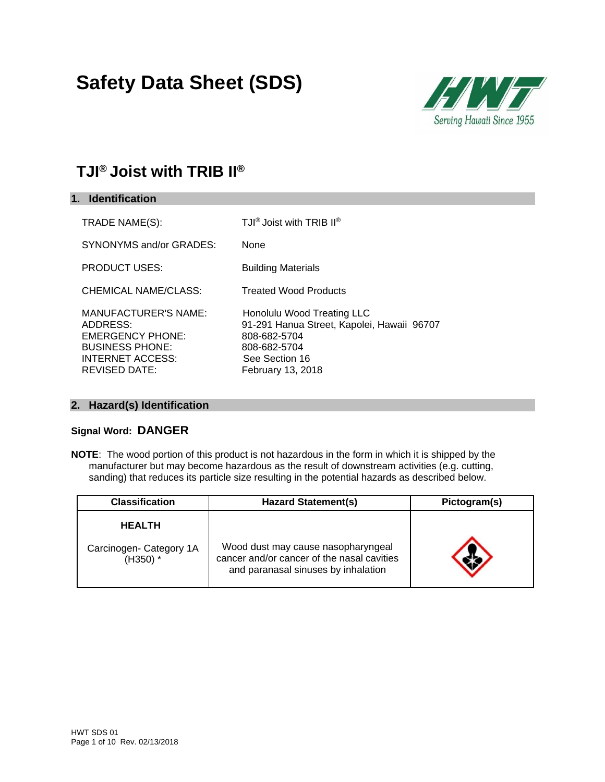# **Safety Data Sheet (SDS)**



# **TJI® Joist with TRIB II®**

| 1. Identification                                                                                                                               |                                                                                                                                                 |
|-------------------------------------------------------------------------------------------------------------------------------------------------|-------------------------------------------------------------------------------------------------------------------------------------------------|
| TRADE NAME(S):                                                                                                                                  | TJI <sup>®</sup> Joist with TRIB II <sup>®</sup>                                                                                                |
| SYNONYMS and/or GRADES:                                                                                                                         | None                                                                                                                                            |
| <b>PRODUCT USES:</b>                                                                                                                            | <b>Building Materials</b>                                                                                                                       |
| <b>CHEMICAL NAME/CLASS:</b>                                                                                                                     | <b>Treated Wood Products</b>                                                                                                                    |
| <b>MANUFACTURER'S NAME:</b><br>ADDRESS:<br><b>EMERGENCY PHONE:</b><br><b>BUSINESS PHONE:</b><br><b>INTERNET ACCESS:</b><br><b>REVISED DATE:</b> | Honolulu Wood Treating LLC<br>91-291 Hanua Street, Kapolei, Hawaii 96707<br>808-682-5704<br>808-682-5704<br>See Section 16<br>February 13, 2018 |

### **2. Hazard(s) Identification**

### **Signal Word: DANGER**

**NOTE**: The wood portion of this product is not hazardous in the form in which it is shipped by the manufacturer but may become hazardous as the result of downstream activities (e.g. cutting, sanding) that reduces its particle size resulting in the potential hazards as described below.

| <b>Classification</b>                 | <b>Hazard Statement(s)</b>                                                                                              | Pictogram(s) |
|---------------------------------------|-------------------------------------------------------------------------------------------------------------------------|--------------|
| <b>HEALTH</b>                         |                                                                                                                         |              |
| Carcinogen- Category 1A<br>$(H350)$ * | Wood dust may cause nasopharyngeal<br>cancer and/or cancer of the nasal cavities<br>and paranasal sinuses by inhalation |              |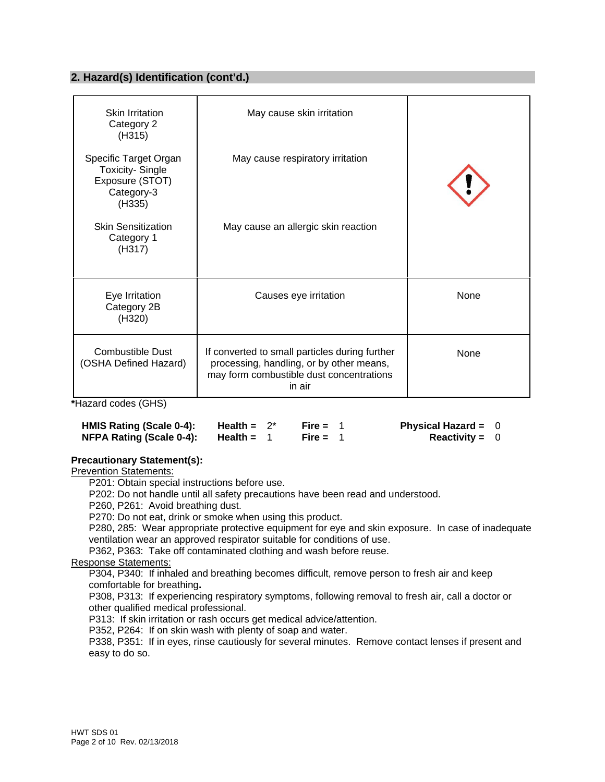### **2. Hazard(s) Identification (cont'd.)**

| Skin Irritation<br>Category 2<br>(H315)                                                    | May cause skin irritation                                                                                                                        |      |
|--------------------------------------------------------------------------------------------|--------------------------------------------------------------------------------------------------------------------------------------------------|------|
| Specific Target Organ<br><b>Toxicity-Single</b><br>Exposure (STOT)<br>Category-3<br>(H335) | May cause respiratory irritation                                                                                                                 |      |
| <b>Skin Sensitization</b><br>Category 1<br>(H317)                                          | May cause an allergic skin reaction                                                                                                              |      |
| Eye Irritation<br>Category 2B<br>(H320)                                                    | Causes eye irritation                                                                                                                            | None |
| <b>Combustible Dust</b><br>(OSHA Defined Hazard)                                           | If converted to small particles during further<br>processing, handling, or by other means,<br>may form combustible dust concentrations<br>in air | None |

**\***Hazard codes (GHS)

| HMIS Rating (Scale 0-4): | Health = $2^*$ | Fire = $1$ | Physical Hazard = $0$ |  |
|--------------------------|----------------|------------|-----------------------|--|
| NFPA Rating (Scale 0-4): | Health =       | Fire = $1$ | <b>Reactivity = 0</b> |  |

#### **Precautionary Statement(s):**

Prevention Statements:

P201: Obtain special instructions before use.

P202: Do not handle until all safety precautions have been read and understood.

P260, P261: Avoid breathing dust.

P270: Do not eat, drink or smoke when using this product.

P280, 285: Wear appropriate protective equipment for eye and skin exposure. In case of inadequate ventilation wear an approved respirator suitable for conditions of use.

P362, P363: Take off contaminated clothing and wash before reuse.

Response Statements:

P304, P340: If inhaled and breathing becomes difficult, remove person to fresh air and keep comfortable for breathing**.** 

P308, P313: If experiencing respiratory symptoms, following removal to fresh air, call a doctor or other qualified medical professional.

P313: If skin irritation or rash occurs get medical advice/attention.

P352, P264: If on skin wash with plenty of soap and water.

P338, P351: If in eyes, rinse cautiously for several minutes. Remove contact lenses if present and easy to do so.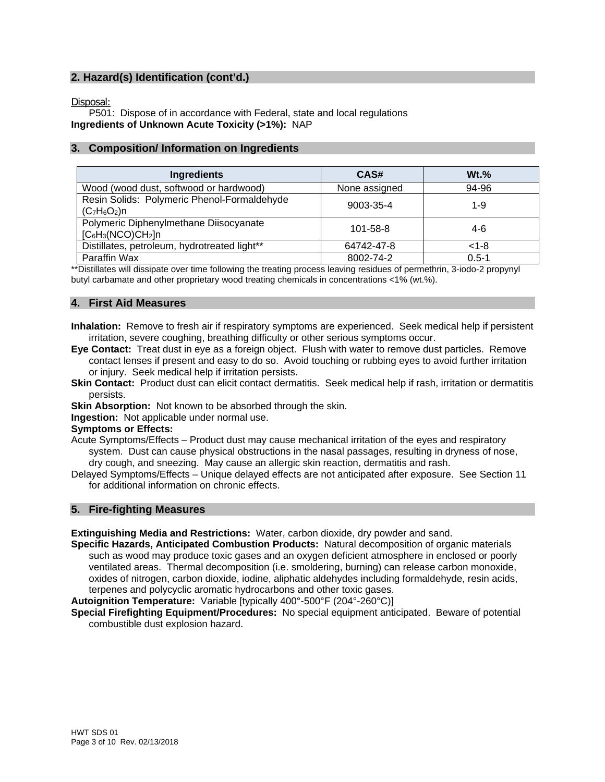# **2. Hazard(s) Identification (cont'd.)**

Disposal:

P501: Dispose of in accordance with Federal, state and local regulations **Ingredients of Unknown Acute Toxicity (>1%):** NAP

#### **3. Composition/ Information on Ingredients**

| Ingredients                                                    | CAS#           | $Wt.$ %   |
|----------------------------------------------------------------|----------------|-----------|
| Wood (wood dust, softwood or hardwood)                         | None assigned  | 94-96     |
| Resin Solids: Polymeric Phenol-Formaldehyde<br>$(C_7H_6O_2)n$  | 9003-35-4      | 1-9       |
| Polymeric Diphenylmethane Diisocyanate<br>$[C_6H_3(NCO)CH_2]n$ | $101 - 58 - 8$ | 4-6       |
| Distillates, petroleum, hydrotreated light**                   | 64742-47-8     | $< 1 - 8$ |
| Paraffin Wax                                                   | 8002-74-2      | $0.5 - 1$ |

\*\*Distillates will dissipate over time following the treating process leaving residues of permethrin, 3-iodo-2 propynyl butyl carbamate and other proprietary wood treating chemicals in concentrations <1% (wt.%).

#### **4. First Aid Measures**

**Inhalation:** Remove to fresh air if respiratory symptoms are experienced. Seek medical help if persistent irritation, severe coughing, breathing difficulty or other serious symptoms occur.

- **Eye Contact:** Treat dust in eye as a foreign object. Flush with water to remove dust particles. Remove contact lenses if present and easy to do so. Avoid touching or rubbing eyes to avoid further irritation or injury. Seek medical help if irritation persists.
- **Skin Contact:** Product dust can elicit contact dermatitis. Seek medical help if rash, irritation or dermatitis persists.
- **Skin Absorption:** Not known to be absorbed through the skin.

**Ingestion:** Not applicable under normal use.

#### **Symptoms or Effects:**

Acute Symptoms/Effects – Product dust may cause mechanical irritation of the eyes and respiratory system. Dust can cause physical obstructions in the nasal passages, resulting in dryness of nose, dry cough, and sneezing. May cause an allergic skin reaction, dermatitis and rash.

Delayed Symptoms/Effects – Unique delayed effects are not anticipated after exposure. See Section 11 for additional information on chronic effects.

#### **5. Fire-fighting Measures**

**Extinguishing Media and Restrictions:** Water, carbon dioxide, dry powder and sand.

**Specific Hazards, Anticipated Combustion Products:** Natural decomposition of organic materials such as wood may produce toxic gases and an oxygen deficient atmosphere in enclosed or poorly ventilated areas. Thermal decomposition (i.e. smoldering, burning) can release carbon monoxide, oxides of nitrogen, carbon dioxide, iodine, aliphatic aldehydes including formaldehyde, resin acids, terpenes and polycyclic aromatic hydrocarbons and other toxic gases.

**Autoignition Temperature:** Variable [typically 400°-500°F (204°-260°C)]

**Special Firefighting Equipment/Procedures:** No special equipment anticipated. Beware of potential combustible dust explosion hazard.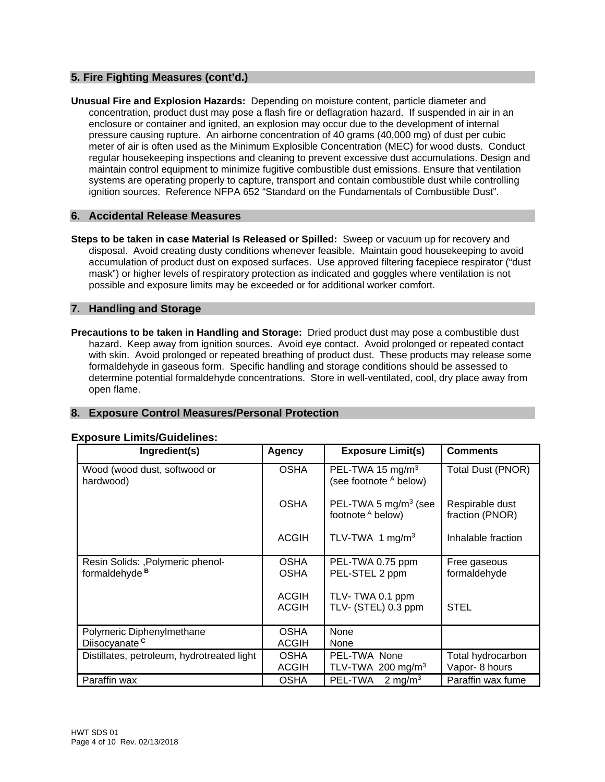# **5. Fire Fighting Measures (cont'd.)**

**Unusual Fire and Explosion Hazards:** Depending on moisture content, particle diameter and concentration, product dust may pose a flash fire or deflagration hazard. If suspended in air in an enclosure or container and ignited, an explosion may occur due to the development of internal pressure causing rupture. An airborne concentration of 40 grams (40,000 mg) of dust per cubic meter of air is often used as the Minimum Explosible Concentration (MEC) for wood dusts. Conduct regular housekeeping inspections and cleaning to prevent excessive dust accumulations. Design and maintain control equipment to minimize fugitive combustible dust emissions. Ensure that ventilation systems are operating properly to capture, transport and contain combustible dust while controlling ignition sources. Reference NFPA 652 "Standard on the Fundamentals of Combustible Dust".

#### **6. Accidental Release Measures**

**Steps to be taken in case Material Is Released or Spilled:** Sweep or vacuum up for recovery and disposal. Avoid creating dusty conditions whenever feasible. Maintain good housekeeping to avoid accumulation of product dust on exposed surfaces. Use approved filtering facepiece respirator ("dust mask") or higher levels of respiratory protection as indicated and goggles where ventilation is not possible and exposure limits may be exceeded or for additional worker comfort.

#### **7. Handling and Storage**

**Precautions to be taken in Handling and Storage:** Dried product dust may pose a combustible dust hazard. Keep away from ignition sources. Avoid eye contact. Avoid prolonged or repeated contact with skin. Avoid prolonged or repeated breathing of product dust. These products may release some formaldehyde in gaseous form. Specific handling and storage conditions should be assessed to determine potential formaldehyde concentrations. Store in well-ventilated, cool, dry place away from open flame.

# **8. Exposure Control Measures/Personal Protection**

| Ingredient(s)                                                  | Agency                       | <b>Exposure Limit(s)</b>                               | <b>Comments</b>                    |
|----------------------------------------------------------------|------------------------------|--------------------------------------------------------|------------------------------------|
| Wood (wood dust, softwood or<br>hardwood)                      | <b>OSHA</b>                  | PEL-TWA 15 mg/m <sup>3</sup><br>(see footnote A below) | Total Dust (PNOR)                  |
|                                                                | <b>OSHA</b>                  | PEL-TWA 5 $mg/m3$ (see<br>footnote A below)            | Respirable dust<br>fraction (PNOR) |
|                                                                | <b>ACGIH</b>                 | TLV-TWA 1 mg/m <sup>3</sup>                            | Inhalable fraction                 |
| Resin Solids: , Polymeric phenol-<br>formaldehyde <sup>B</sup> | <b>OSHA</b><br><b>OSHA</b>   | PEL-TWA 0.75 ppm<br>PEL-STEL 2 ppm                     | Free gaseous<br>formaldehyde       |
|                                                                | <b>ACGIH</b><br><b>ACGIH</b> | TLV-TWA 0.1 ppm<br>TLV- (STEL) 0.3 ppm                 | <b>STEL</b>                        |
| Polymeric Diphenylmethane<br>Diisocyanate <sup>c</sup>         | <b>OSHA</b><br><b>ACGIH</b>  | None<br>None                                           |                                    |
| Distillates, petroleum, hydrotreated light                     | <b>OSHA</b><br><b>ACGIH</b>  | PEL-TWA None<br>TLV-TWA 200 mg/m <sup>3</sup>          | Total hydrocarbon<br>Vapor-8 hours |
| Paraffin wax                                                   | <b>OSHA</b>                  | PEL-TWA<br>2 mg/m <sup>3</sup>                         | Paraffin wax fume                  |

#### **Exposure Limits/Guidelines:**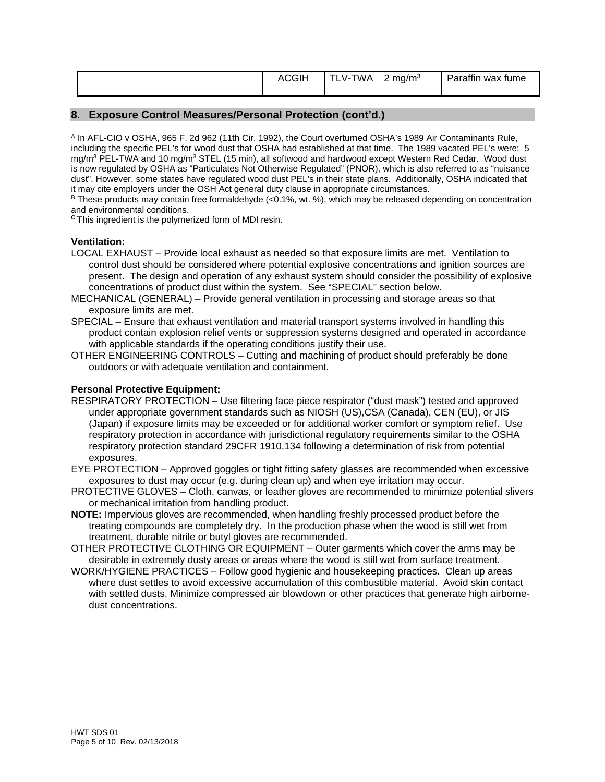|  | <b>ACGIF</b> | $\cdots$<br><b>WA</b><br>$V - I$ | -<br>mg/m <sup>3</sup><br><u>_</u> | <br>Parattin<br>tume<br>wax |
|--|--------------|----------------------------------|------------------------------------|-----------------------------|
|--|--------------|----------------------------------|------------------------------------|-----------------------------|

#### **8. Exposure Control Measures/Personal Protection (cont'd.)**

A In AFL-CIO v OSHA, 965 F. 2d 962 (11th Cir. 1992), the Court overturned OSHA's 1989 Air Contaminants Rule, including the specific PEL's for wood dust that OSHA had established at that time. The 1989 vacated PEL's were: 5 mg/m<sup>3</sup> PEL-TWA and 10 mg/m<sup>3</sup> STEL (15 min), all softwood and hardwood except Western Red Cedar. Wood dust is now regulated by OSHA as "Particulates Not Otherwise Regulated" (PNOR), which is also referred to as "nuisance dust". However, some states have regulated wood dust PEL's in their state plans. Additionally, OSHA indicated that it may cite employers under the OSH Act general duty clause in appropriate circumstances.

B These products may contain free formaldehyde (<0.1%, wt. %), which may be released depending on concentration and environmental conditions.

**<sup>C</sup>**This ingredient is the polymerized form of MDI resin.

#### **Ventilation:**

- LOCAL EXHAUST Provide local exhaust as needed so that exposure limits are met. Ventilation to control dust should be considered where potential explosive concentrations and ignition sources are present. The design and operation of any exhaust system should consider the possibility of explosive concentrations of product dust within the system. See "SPECIAL" section below.
- MECHANICAL (GENERAL) Provide general ventilation in processing and storage areas so that exposure limits are met.
- SPECIAL Ensure that exhaust ventilation and material transport systems involved in handling this product contain explosion relief vents or suppression systems designed and operated in accordance with applicable standards if the operating conditions justify their use.
- OTHER ENGINEERING CONTROLS Cutting and machining of product should preferably be done outdoors or with adequate ventilation and containment.

#### **Personal Protective Equipment:**

- RESPIRATORY PROTECTION Use filtering face piece respirator ("dust mask") tested and approved under appropriate government standards such as NIOSH (US),CSA (Canada), CEN (EU), or JIS (Japan) if exposure limits may be exceeded or for additional worker comfort or symptom relief. Use respiratory protection in accordance with jurisdictional regulatory requirements similar to the OSHA respiratory protection standard 29CFR 1910.134 following a determination of risk from potential exposures.
- EYE PROTECTION Approved goggles or tight fitting safety glasses are recommended when excessive exposures to dust may occur (e.g. during clean up) and when eye irritation may occur.
- PROTECTIVE GLOVES Cloth, canvas, or leather gloves are recommended to minimize potential slivers or mechanical irritation from handling product.
- **NOTE:** Impervious gloves are recommended, when handling freshly processed product before the treating compounds are completely dry. In the production phase when the wood is still wet from treatment, durable nitrile or butyl gloves are recommended.
- OTHER PROTECTIVE CLOTHING OR EQUIPMENT Outer garments which cover the arms may be desirable in extremely dusty areas or areas where the wood is still wet from surface treatment.
- WORK/HYGIENE PRACTICES Follow good hygienic and housekeeping practices. Clean up areas where dust settles to avoid excessive accumulation of this combustible material. Avoid skin contact with settled dusts. Minimize compressed air blowdown or other practices that generate high airbornedust concentrations.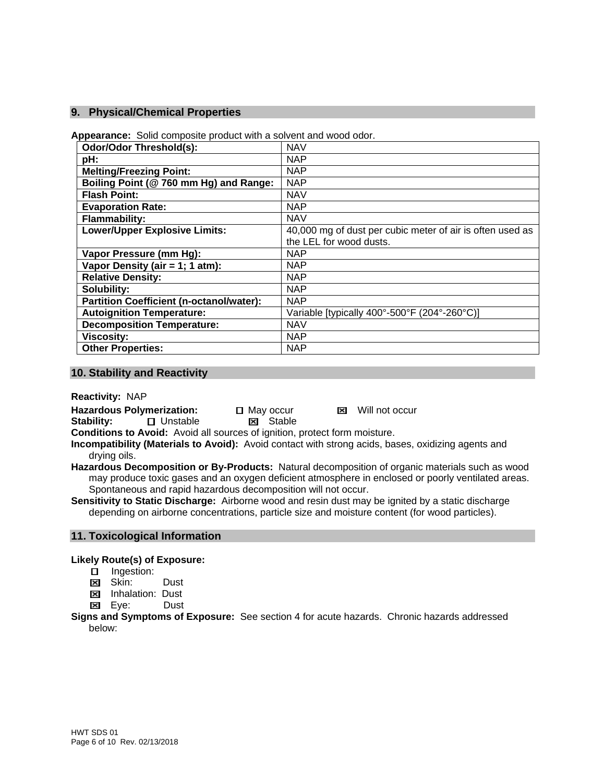#### **9. Physical/Chemical Properties**

**Appearance:** Solid composite product with a solvent and wood odor.

| <b>Odor/Odor Threshold(s):</b>                  | <b>NAV</b>                                                |
|-------------------------------------------------|-----------------------------------------------------------|
| pH:                                             | <b>NAP</b>                                                |
| <b>Melting/Freezing Point:</b>                  | <b>NAP</b>                                                |
| Boiling Point (@ 760 mm Hg) and Range:          | <b>NAP</b>                                                |
| <b>Flash Point:</b>                             | <b>NAV</b>                                                |
| <b>Evaporation Rate:</b>                        | <b>NAP</b>                                                |
| <b>Flammability:</b>                            | <b>NAV</b>                                                |
| <b>Lower/Upper Explosive Limits:</b>            | 40,000 mg of dust per cubic meter of air is often used as |
|                                                 | the LEL for wood dusts.                                   |
| Vapor Pressure (mm Hg):                         | <b>NAP</b>                                                |
| Vapor Density (air = 1; 1 atm):                 | <b>NAP</b>                                                |
| <b>Relative Density:</b>                        | <b>NAP</b>                                                |
| Solubility:                                     | <b>NAP</b>                                                |
| <b>Partition Coefficient (n-octanol/water):</b> | <b>NAP</b>                                                |
| <b>Autoignition Temperature:</b>                | Variable [typically 400°-500°F (204°-260°C)]              |
| <b>Decomposition Temperature:</b>               | <b>NAV</b>                                                |
| <b>Viscosity:</b>                               | <b>NAP</b>                                                |
| <b>Other Properties:</b>                        | <b>NAP</b>                                                |

#### **10. Stability and Reactivity**

**Reactivity:** NAP

**Hazardous Polymerization:**  $\Box$  May occur **M** Will not occur

**Stability: □ Unstable Stable** 

**Conditions to Avoid:** Avoid all sources of ignition, protect form moisture.

**Incompatibility (Materials to Avoid):** Avoid contact with strong acids, bases, oxidizing agents and drying oils.

**Hazardous Decomposition or By-Products:** Natural decomposition of organic materials such as wood may produce toxic gases and an oxygen deficient atmosphere in enclosed or poorly ventilated areas. Spontaneous and rapid hazardous decomposition will not occur.

**Sensitivity to Static Discharge:** Airborne wood and resin dust may be ignited by a static discharge depending on airborne concentrations, particle size and moisture content (for wood particles).

#### **11. Toxicological Information**

#### **Likely Route(s) of Exposure:**

- □ Ingestion:
- **Ed** Skin: Dust
- **E** Inhalation: Dust
- Eye:Dust

**Signs and Symptoms of Exposure:** See section 4 for acute hazards. Chronic hazards addressed below: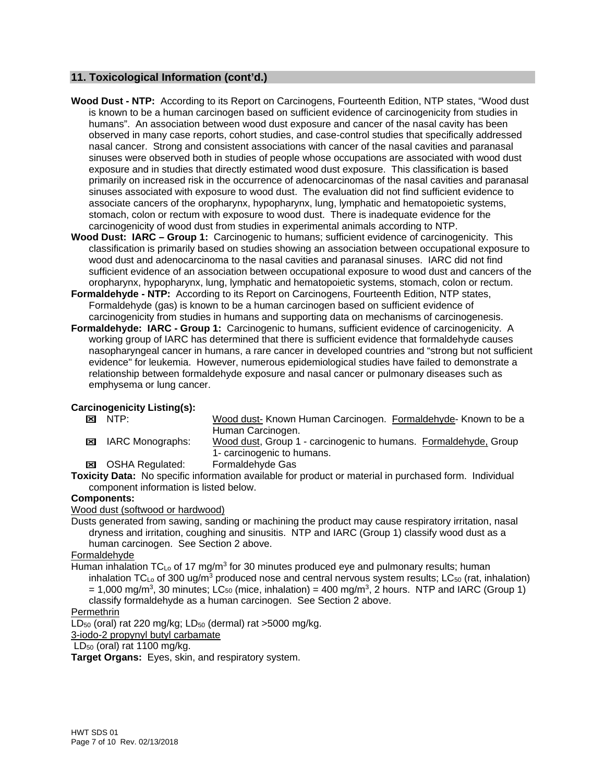#### **11. Toxicological Information (cont'd.)**

- **Wood Dust NTP:** According to its Report on Carcinogens, Fourteenth Edition, NTP states, "Wood dust is known to be a human carcinogen based on sufficient evidence of carcinogenicity from studies in humans". An association between wood dust exposure and cancer of the nasal cavity has been observed in many case reports, cohort studies, and case-control studies that specifically addressed nasal cancer. Strong and consistent associations with cancer of the nasal cavities and paranasal sinuses were observed both in studies of people whose occupations are associated with wood dust exposure and in studies that directly estimated wood dust exposure. This classification is based primarily on increased risk in the occurrence of adenocarcinomas of the nasal cavities and paranasal sinuses associated with exposure to wood dust. The evaluation did not find sufficient evidence to associate cancers of the oropharynx, hypopharynx, lung, lymphatic and hematopoietic systems, stomach, colon or rectum with exposure to wood dust. There is inadequate evidence for the carcinogenicity of wood dust from studies in experimental animals according to NTP.
- **Wood Dust: IARC Group 1:** Carcinogenic to humans; sufficient evidence of carcinogenicity. This classification is primarily based on studies showing an association between occupational exposure to wood dust and adenocarcinoma to the nasal cavities and paranasal sinuses. IARC did not find sufficient evidence of an association between occupational exposure to wood dust and cancers of the oropharynx, hypopharynx, lung, lymphatic and hematopoietic systems, stomach, colon or rectum.
- **Formaldehyde NTP:** According to its Report on Carcinogens, Fourteenth Edition, NTP states, Formaldehyde (gas) is known to be a human carcinogen based on sufficient evidence of carcinogenicity from studies in humans and supporting data on mechanisms of carcinogenesis.
- **Formaldehyde: IARC Group 1:** Carcinogenic to humans, sufficient evidence of carcinogenicity. A working group of IARC has determined that there is sufficient evidence that formaldehyde causes nasopharyngeal cancer in humans, a rare cancer in developed countries and "strong but not sufficient evidence" for leukemia. However, numerous epidemiological studies have failed to demonstrate a relationship between formaldehyde exposure and nasal cancer or pulmonary diseases such as emphysema or lung cancer.

# **Carcinogenicity Listing(s):**<br> **EXI** NTP:

- Wood dust- Known Human Carcinogen. Formaldehyde- Known to be a Human Carcinogen.
- IARC Monographs: Wood dust, Group 1 carcinogenic to humans. Formaldehyde, Group 1- carcinogenic to humans.
- OSHA Regulated: Formaldehyde Gas

**Toxicity Data:** No specific information available for product or material in purchased form. Individual component information is listed below.

#### **Components:**

#### Wood dust (softwood or hardwood)

Dusts generated from sawing, sanding or machining the product may cause respiratory irritation, nasal dryness and irritation, coughing and sinusitis. NTP and IARC (Group 1) classify wood dust as a human carcinogen. See Section 2 above.

#### Formaldehyde

Human inhalation  $TC_{Lo}$  of 17 mg/m<sup>3</sup> for 30 minutes produced eye and pulmonary results; human inhalation TC<sub>Lo</sub> of 300 ug/m<sup>3</sup> produced nose and central nervous system results; LC<sub>50</sub> (rat, inhalation)  $= 1,000$  mg/m<sup>3</sup>, 30 minutes; LC<sub>50</sub> (mice, inhalation) = 400 mg/m<sup>3</sup>, 2 hours. NTP and IARC (Group 1) classify formaldehyde as a human carcinogen. See Section 2 above.

### Permethrin

LD<sub>50</sub> (oral) rat 220 mg/kg; LD<sub>50</sub> (dermal) rat >5000 mg/kg.

3-iodo-2 propynyl butyl carbamate

 $LD_{50}$  (oral) rat 1100 mg/kg.

**Target Organs:** Eyes, skin, and respiratory system.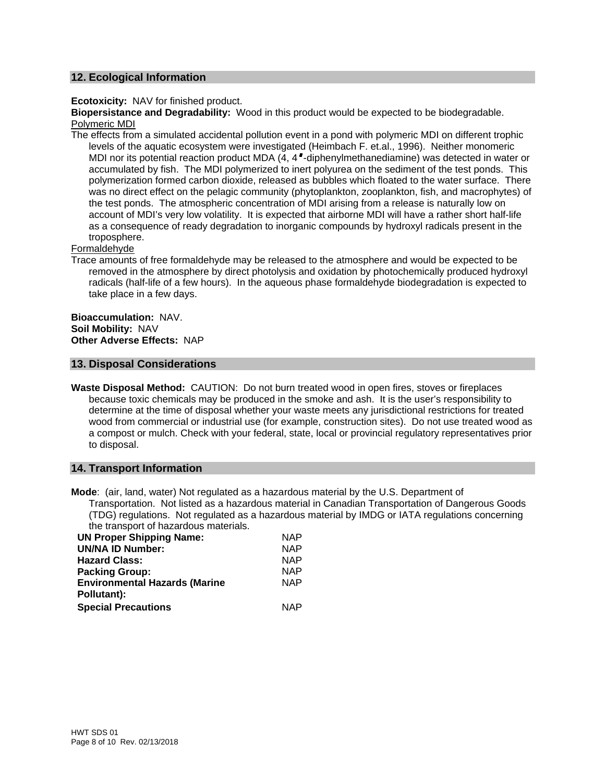#### **12. Ecological Information**

**Ecotoxicity:** NAV for finished product.

**Biopersistance and Degradability:** Wood in this product would be expected to be biodegradable. Polymeric MDI

The effects from a simulated accidental pollution event in a pond with polymeric MDI on different trophic levels of the aquatic ecosystem were investigated (Heimbach F. et.al., 1996). Neither monomeric MDI nor its potential reaction product MDA  $(A, 4 -$ diphenylmethanediamine) was detected in water or accumulated by fish. The MDI polymerized to inert polyurea on the sediment of the test ponds. This polymerization formed carbon dioxide, released as bubbles which floated to the water surface. There was no direct effect on the pelagic community (phytoplankton, zooplankton, fish, and macrophytes) of the test ponds. The atmospheric concentration of MDI arising from a release is naturally low on account of MDI's very low volatility. It is expected that airborne MDI will have a rather short half-life as a consequence of ready degradation to inorganic compounds by hydroxyl radicals present in the troposphere.

#### Formaldehyde

Trace amounts of free formaldehyde may be released to the atmosphere and would be expected to be removed in the atmosphere by direct photolysis and oxidation by photochemically produced hydroxyl radicals (half-life of a few hours). In the aqueous phase formaldehyde biodegradation is expected to take place in a few days.

**Bioaccumulation:** NAV. **Soil Mobility:** NAV **Other Adverse Effects:** NAP

#### **13. Disposal Considerations**

**Waste Disposal Method:** CAUTION: Do not burn treated wood in open fires, stoves or fireplaces because toxic chemicals may be produced in the smoke and ash. It is the user's responsibility to determine at the time of disposal whether your waste meets any jurisdictional restrictions for treated wood from commercial or industrial use (for example, construction sites). Do not use treated wood as a compost or mulch. Check with your federal, state, local or provincial regulatory representatives prior to disposal.

#### **14. Transport Information**

**Mode**: (air, land, water) Not regulated as a hazardous material by the U.S. Department of Transportation. Not listed as a hazardous material in Canadian Transportation of Dangerous Goods (TDG) regulations. Not regulated as a hazardous material by IMDG or IATA regulations concerning the transport of hazardous materials.

| <b>NAP</b> |
|------------|
| <b>NAP</b> |
| <b>NAP</b> |
| <b>NAP</b> |
| <b>NAP</b> |
|            |
| <b>NAP</b> |
|            |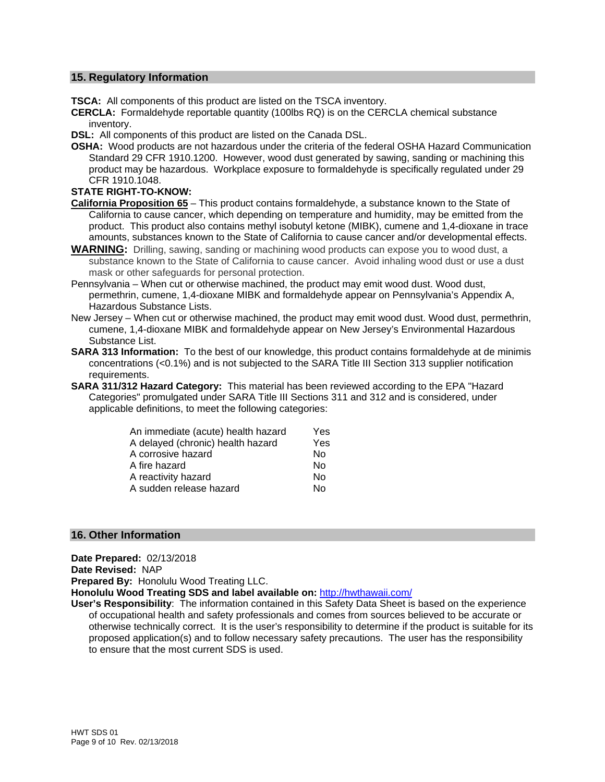#### **15. Regulatory Information**

**TSCA:** All components of this product are listed on the TSCA inventory.

**CERCLA:** Formaldehyde reportable quantity (100lbs RQ) is on the CERCLA chemical substance inventory.

**DSL:** All components of this product are listed on the Canada DSL.

**OSHA:** Wood products are not hazardous under the criteria of the federal OSHA Hazard Communication Standard 29 CFR 1910.1200. However, wood dust generated by sawing, sanding or machining this product may be hazardous. Workplace exposure to formaldehyde is specifically regulated under 29 CFR 1910.1048.

#### **STATE RIGHT-TO-KNOW:**

- **California Proposition 65** This product contains formaldehyde, a substance known to the State of California to cause cancer, which depending on temperature and humidity, may be emitted from the product. This product also contains methyl isobutyl ketone (MIBK), cumene and 1,4-dioxane in trace amounts, substances known to the State of California to cause cancer and/or developmental effects.
- **WARNING:** Drilling, sawing, sanding or machining wood products can expose you to wood dust, a substance known to the State of California to cause cancer. Avoid inhaling wood dust or use a dust mask or other safeguards for personal protection.
- Pennsylvania When cut or otherwise machined, the product may emit wood dust. Wood dust, permethrin, cumene, 1,4-dioxane MIBK and formaldehyde appear on Pennsylvania's Appendix A, Hazardous Substance Lists.
- New Jersey When cut or otherwise machined, the product may emit wood dust. Wood dust, permethrin, cumene, 1,4-dioxane MIBK and formaldehyde appear on New Jersey's Environmental Hazardous Substance List.
- **SARA 313 Information:** To the best of our knowledge, this product contains formaldehyde at de minimis concentrations (<0.1%) and is not subjected to the SARA Title III Section 313 supplier notification requirements.
- **SARA 311/312 Hazard Category:** This material has been reviewed according to the EPA "Hazard Categories" promulgated under SARA Title III Sections 311 and 312 and is considered, under applicable definitions, to meet the following categories:

| An immediate (acute) health hazard | Yes |
|------------------------------------|-----|
| A delayed (chronic) health hazard  | Yes |
| A corrosive hazard                 | No  |
| A fire hazard                      | No  |
| A reactivity hazard                | No  |
| A sudden release hazard            | Nο  |

### **16. Other Information**

**Date Prepared:** 02/13/2018 **Date Revised:** NAP **Prepared By:** Honolulu Wood Treating LLC. **Honolulu Wood Treating SDS and label available on:** http://hwthawaii.com/ **User's Responsibility**: The information contained in this Safety Data Sheet is based on the experience of occupational health and safety professionals and comes from sources believed to be accurate or otherwise technically correct. It is the user's responsibility to determine if the product is suitable for its

proposed application(s) and to follow necessary safety precautions. The user has the responsibility to ensure that the most current SDS is used.